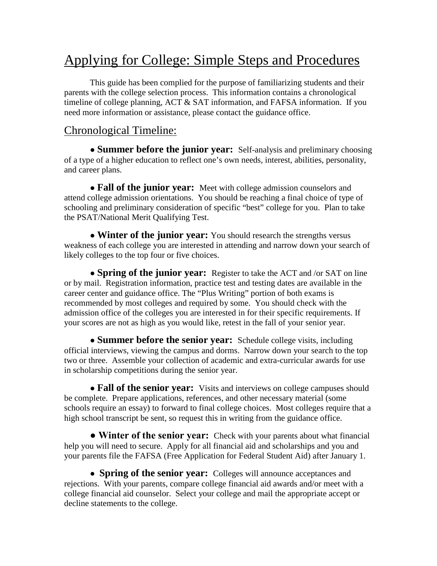# Applying for College: Simple Steps and Procedures

This guide has been complied for the purpose of familiarizing students and their parents with the college selection process. This information contains a chronological timeline of college planning, ACT & SAT information, and FAFSA information. If you need more information or assistance, please contact the guidance office.

## Chronological Timeline:

● **Summer before the junior year:** Self-analysis and preliminary choosing of a type of a higher education to reflect one's own needs, interest, abilities, personality, and career plans.

• **Fall of the junior year:** Meet with college admission counselors and attend college admission orientations. You should be reaching a final choice of type of schooling and preliminary consideration of specific "best" college for you. Plan to take the PSAT/National Merit Qualifying Test.

• **Winter of the junior year:** You should research the strengths versus weakness of each college you are interested in attending and narrow down your search of likely colleges to the top four or five choices.

● **Spring of the junior year:** Register to take the ACT and /or SAT on line or by mail. Registration information, practice test and testing dates are available in the career center and guidance office. The "Plus Writing" portion of both exams is recommended by most colleges and required by some. You should check with the admission office of the colleges you are interested in for their specific requirements. If your scores are not as high as you would like, retest in the fall of your senior year.

• **Summer before the senior year:** Schedule college visits, including official interviews, viewing the campus and dorms. Narrow down your search to the top two or three. Assemble your collection of academic and extra-curricular awards for use in scholarship competitions during the senior year.

• **Fall of the senior year:** Visits and interviews on college campuses should be complete. Prepare applications, references, and other necessary material (some schools require an essay) to forward to final college choices. Most colleges require that a high school transcript be sent, so request this in writing from the guidance office.

**● Winter of the senior year:** Check with your parents about what financial help you will need to secure. Apply for all financial aid and scholarships and you and your parents file the FAFSA (Free Application for Federal Student Aid) after January 1.

• **Spring of the senior year:** Colleges will announce acceptances and rejections. With your parents, compare college financial aid awards and/or meet with a college financial aid counselor. Select your college and mail the appropriate accept or decline statements to the college.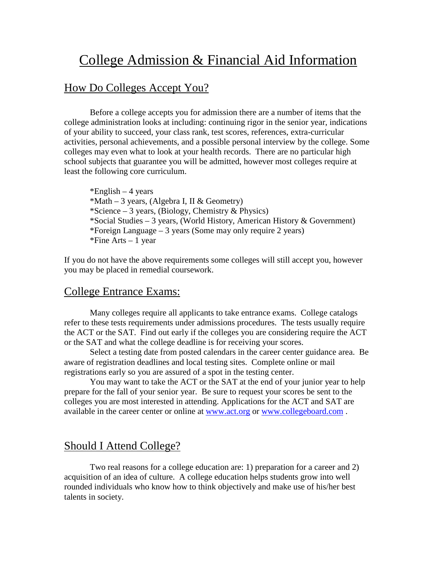## College Admission & Financial Aid Information

#### How Do Colleges Accept You?

Before a college accepts you for admission there are a number of items that the college administration looks at including: continuing rigor in the senior year, indications of your ability to succeed, your class rank, test scores, references, extra-curricular activities, personal achievements, and a possible personal interview by the college. Some colleges may even what to look at your health records. There are no particular high school subjects that guarantee you will be admitted, however most colleges require at least the following core curriculum.

\*English  $-4$  years  $*Math - 3 \text{ years}$ , (Algebra I, II & Geometry) \*Science – 3 years, (Biology, Chemistry & Physics) \*Social Studies – 3 years, (World History, American History & Government) \*Foreign Language – 3 years (Some may only require 2 years) \*Fine Arts  $-1$  year

If you do not have the above requirements some colleges will still accept you, however you may be placed in remedial coursework.

#### College Entrance Exams:

Many colleges require all applicants to take entrance exams. College catalogs refer to these tests requirements under admissions procedures. The tests usually require the ACT or the SAT. Find out early if the colleges you are considering require the ACT or the SAT and what the college deadline is for receiving your scores.

Select a testing date from posted calendars in the career center guidance area. Be aware of registration deadlines and local testing sites. Complete online or mail registrations early so you are assured of a spot in the testing center.

You may want to take the ACT or the SAT at the end of your junior year to help prepare for the fall of your senior year. Be sure to request your scores be sent to the colleges you are most interested in attending. Applications for the ACT and SAT are available in the career center or online at [www.act.org](http://www.act.org/) or [www.collegeboard.com](http://www.collegeboard.com/) .

#### Should I Attend College?

Two real reasons for a college education are: 1) preparation for a career and 2) acquisition of an idea of culture. A college education helps students grow into well rounded individuals who know how to think objectively and make use of his/her best talents in society.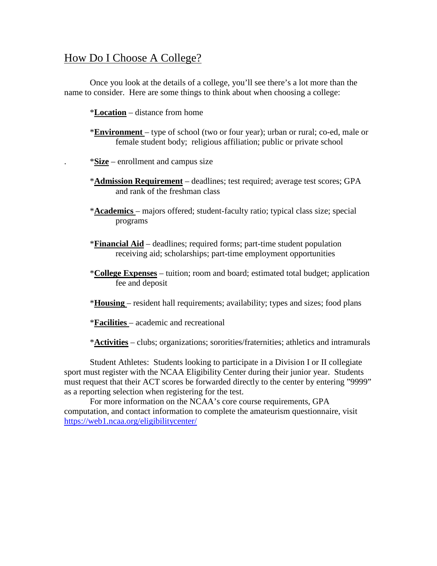### How Do I Choose A College?

Once you look at the details of a college, you'll see there's a lot more than the name to consider. Here are some things to think about when choosing a college:

\***Location** – distance from home

- \***Environment** type of school (two or four year); urban or rural; co-ed, male or female student body; religious affiliation; public or private school
- . \***Size** enrollment and campus size
- \***Admission Requirement** deadlines; test required; average test scores; GPA and rank of the freshman class
- \***Academics** majors offered; student-faculty ratio; typical class size; special programs
- \***Financial Aid** deadlines; required forms; part-time student population receiving aid; scholarships; part-time employment opportunities
- \***College Expenses** tuition; room and board; estimated total budget; application fee and deposit
- \***Housing** resident hall requirements; availability; types and sizes; food plans
- \***Facilities** academic and recreational

\***Activities** – clubs; organizations; sororities/fraternities; athletics and intramurals

Student Athletes: Students looking to participate in a Division I or II collegiate sport must register with the NCAA Eligibility Center during their junior year. Students must request that their ACT scores be forwarded directly to the center by entering "9999" as a reporting selection when registering for the test.

For more information on the NCAA's core course requirements, GPA computation, and contact information to complete the amateurism questionnaire, visit <https://web1.ncaa.org/eligibilitycenter/>